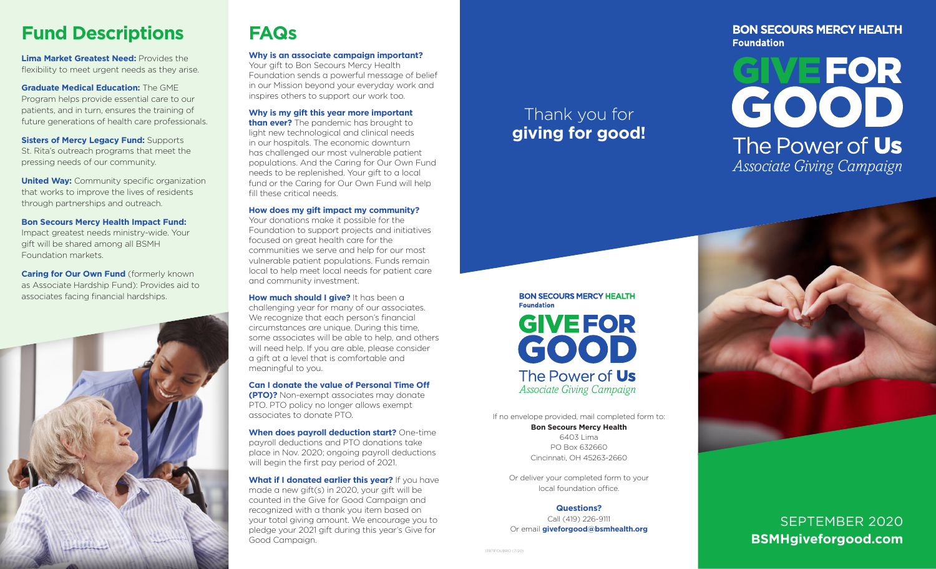# **Fund Descriptions**

**Lima Market Greatest Need: Provides the** flexibility to meet urgent needs as they arise.

**Graduate Medical Education:** The GME Program helps provide essential care to our patients, and in turn, ensures the training of future generations of health care professionals.

**Sisters of Mercy Legacy Fund: Supports** St. Rita's outreach programs that meet the pressing needs of our community.

**United Way: Community specific organization** that works to improve the lives of residents through partnerships and outreach.

#### **Bon Secours Mercy Health Impact Fund:**

Impact greatest needs ministry-wide. Your gift will be shared among all BSMH Foundation markets.

**Caring for Our Own Fund** (formerly known as Associate Hardship Fund): Provides aid to associates facing financial hardships.



# **FAQs**

**Why is an associate campaign important?** Your gift to Bon Secours Mercy Health

Foundation sends a powerful message of belief in our Mission beyond your everyday work and inspires others to support our work too.

**Why is my gift this year more important** 

**than ever?** The pandemic has brought to light new technological and clinical needs in our hospitals. The economic downturn has challenged our most vulnerable patient populations. And the Caring for Our Own Fund needs to be replenished. Your gift to a local fund or the Caring for Our Own Fund will help fill these critical needs.

#### **How does my gift impact my community?**

Your donations make it possible for the Foundation to support projects and initiatives focused on great health care for the communities we serve and help for our most vulnerable patient populations. Funds remain local to help meet local needs for patient care and community investment.

**How much should I give?** It has been a challenging year for many of our associates. We recognize that each person's financial circumstances are unique. During this time, some associates will be able to help, and others will need help. If you are able, please consider a gift at a level that is comfortable and meaningful to you.

**Can I donate the value of Personal Time Off (PTO)?** Non-exempt associates may donate PTO. PTO policy no longer allows exempt associates to donate PTO.

**When does payroll deduction start?** One-time payroll deductions and PTO donations take place in Nov. 2020; ongoing payroll deductions will begin the first pay period of 2021.

**What if I donated earlier this year?** If you have made a new gift(s) in 2020, your gift will be counted in the Give for Good Campaign and recognized with a thank you item based on your total giving amount. We encourage you to pledge your 2021 gift during this year's Give for Good Campaign.

# Thank you for **giving for good!**

### **BON SECOURS MERCY HEALTH Foundation**

# **GIVEFOR**<br>GOOD The Power of Us *Associate Giving Campaign*



If no envelope provided, mail completed form to: **Bon Secours Mercy Health** 6403 Lima PO Box 632660

Cincinnati, OH 45263-2660

Or deliver your completed form to your local foundation office.

#### **Questions?**

Call (419) 226-9111 Or email **giveforgood@bsmhealth.org**



# SEPTEMBER 2020 **BSMHgiveforgood.com**